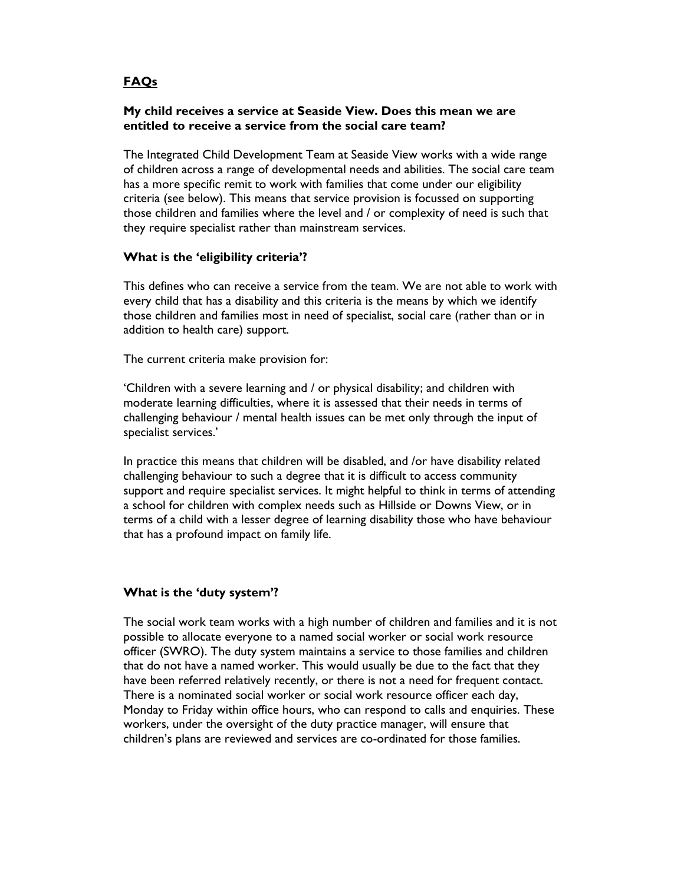# FAQs

# My child receives a service at Seaside View. Does this mean we are entitled to receive a service from the social care team?

The Integrated Child Development Team at Seaside View works with a wide range of children across a range of developmental needs and abilities. The social care team has a more specific remit to work with families that come under our eligibility criteria (see below). This means that service provision is focussed on supporting those children and families where the level and / or complexity of need is such that they require specialist rather than mainstream services.

#### What is the 'eligibility criteria'?

This defines who can receive a service from the team. We are not able to work with every child that has a disability and this criteria is the means by which we identify those children and families most in need of specialist, social care (rather than or in addition to health care) support.

The current criteria make provision for:

'Children with a severe learning and / or physical disability; and children with moderate learning difficulties, where it is assessed that their needs in terms of challenging behaviour / mental health issues can be met only through the input of specialist services.'

In practice this means that children will be disabled, and /or have disability related challenging behaviour to such a degree that it is difficult to access community support and require specialist services. It might helpful to think in terms of attending a school for children with complex needs such as Hillside or Downs View, or in terms of a child with a lesser degree of learning disability those who have behaviour that has a profound impact on family life.

# What is the 'duty system'?

The social work team works with a high number of children and families and it is not possible to allocate everyone to a named social worker or social work resource officer (SWRO). The duty system maintains a service to those families and children that do not have a named worker. This would usually be due to the fact that they have been referred relatively recently, or there is not a need for frequent contact. There is a nominated social worker or social work resource officer each day, Monday to Friday within office hours, who can respond to calls and enquiries. These workers, under the oversight of the duty practice manager, will ensure that children's plans are reviewed and services are co-ordinated for those families.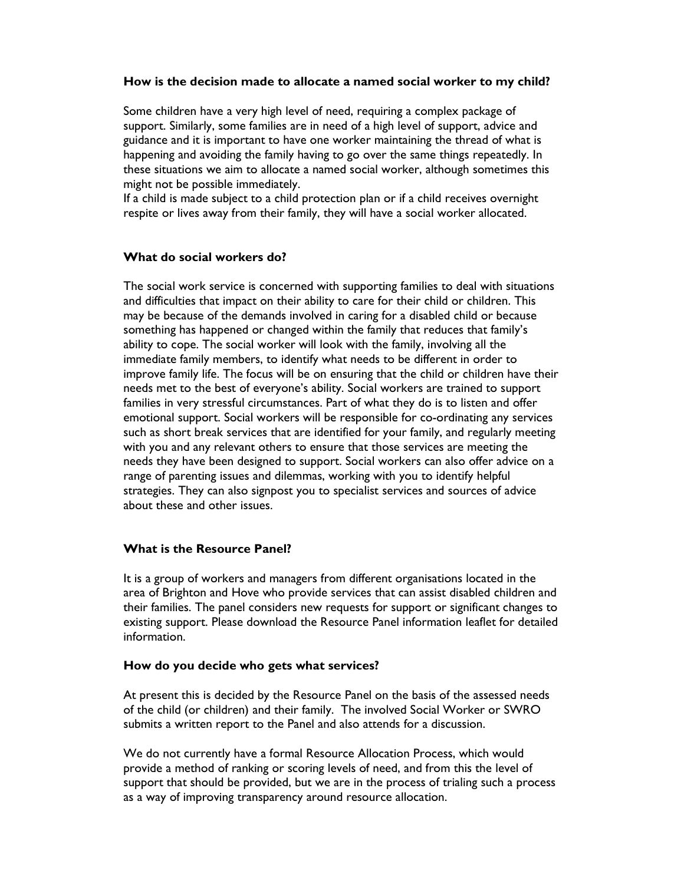#### How is the decision made to allocate a named social worker to my child?

Some children have a very high level of need, requiring a complex package of support. Similarly, some families are in need of a high level of support, advice and guidance and it is important to have one worker maintaining the thread of what is happening and avoiding the family having to go over the same things repeatedly. In these situations we aim to allocate a named social worker, although sometimes this might not be possible immediately.

If a child is made subject to a child protection plan or if a child receives overnight respite or lives away from their family, they will have a social worker allocated.

#### What do social workers do?

The social work service is concerned with supporting families to deal with situations and difficulties that impact on their ability to care for their child or children. This may be because of the demands involved in caring for a disabled child or because something has happened or changed within the family that reduces that family's ability to cope. The social worker will look with the family, involving all the immediate family members, to identify what needs to be different in order to improve family life. The focus will be on ensuring that the child or children have their needs met to the best of everyone's ability. Social workers are trained to support families in very stressful circumstances. Part of what they do is to listen and offer emotional support. Social workers will be responsible for co-ordinating any services such as short break services that are identified for your family, and regularly meeting with you and any relevant others to ensure that those services are meeting the needs they have been designed to support. Social workers can also offer advice on a range of parenting issues and dilemmas, working with you to identify helpful strategies. They can also signpost you to specialist services and sources of advice about these and other issues.

# What is the Resource Panel?

It is a group of workers and managers from different organisations located in the area of Brighton and Hove who provide services that can assist disabled children and their families. The panel considers new requests for support or significant changes to existing support. Please download the Resource Panel information leaflet for detailed information.

#### How do you decide who gets what services?

At present this is decided by the Resource Panel on the basis of the assessed needs of the child (or children) and their family. The involved Social Worker or SWRO submits a written report to the Panel and also attends for a discussion.

We do not currently have a formal Resource Allocation Process, which would provide a method of ranking or scoring levels of need, and from this the level of support that should be provided, but we are in the process of trialing such a process as a way of improving transparency around resource allocation.